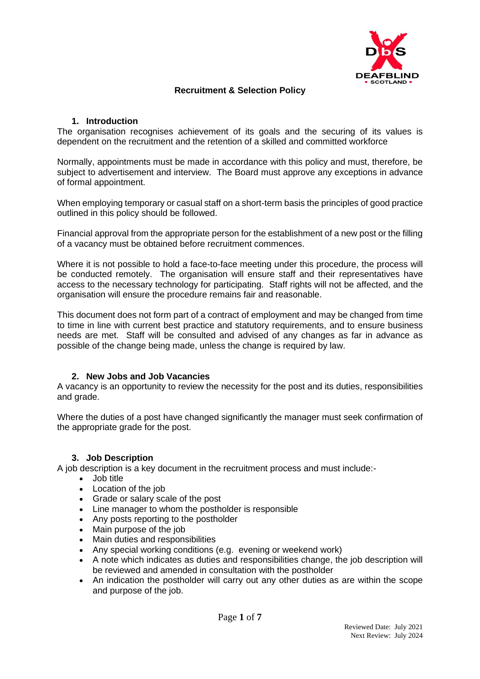

## **Recruitment & Selection Policy**

### **1. Introduction**

The organisation recognises achievement of its goals and the securing of its values is dependent on the recruitment and the retention of a skilled and committed workforce

Normally, appointments must be made in accordance with this policy and must, therefore, be subject to advertisement and interview. The Board must approve any exceptions in advance of formal appointment.

When employing temporary or casual staff on a short-term basis the principles of good practice outlined in this policy should be followed.

Financial approval from the appropriate person for the establishment of a new post or the filling of a vacancy must be obtained before recruitment commences.

Where it is not possible to hold a face-to-face meeting under this procedure, the process will be conducted remotely. The organisation will ensure staff and their representatives have access to the necessary technology for participating. Staff rights will not be affected, and the organisation will ensure the procedure remains fair and reasonable.

This document does not form part of a contract of employment and may be changed from time to time in line with current best practice and statutory requirements, and to ensure business needs are met. Staff will be consulted and advised of any changes as far in advance as possible of the change being made, unless the change is required by law.

### **2. New Jobs and Job Vacancies**

A vacancy is an opportunity to review the necessity for the post and its duties, responsibilities and grade.

Where the duties of a post have changed significantly the manager must seek confirmation of the appropriate grade for the post.

### **3. Job Description**

A job description is a key document in the recruitment process and must include:-

- Job title
- Location of the job
- Grade or salary scale of the post
- Line manager to whom the postholder is responsible
- Any posts reporting to the postholder
- Main purpose of the job
- Main duties and responsibilities
- Any special working conditions (e.g. evening or weekend work)
- A note which indicates as duties and responsibilities change, the job description will be reviewed and amended in consultation with the postholder
- An indication the postholder will carry out any other duties as are within the scope and purpose of the job.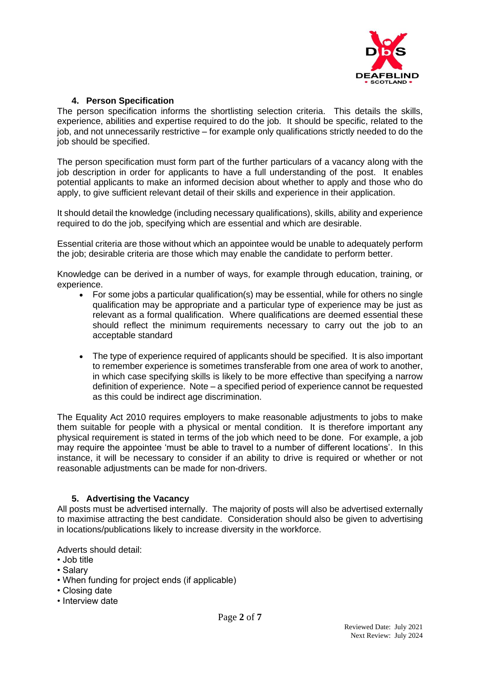

### **4. Person Specification**

The person specification informs the shortlisting selection criteria. This details the skills, experience, abilities and expertise required to do the job. It should be specific, related to the job, and not unnecessarily restrictive – for example only qualifications strictly needed to do the job should be specified.

The person specification must form part of the further particulars of a vacancy along with the job description in order for applicants to have a full understanding of the post. It enables potential applicants to make an informed decision about whether to apply and those who do apply, to give sufficient relevant detail of their skills and experience in their application.

It should detail the knowledge (including necessary qualifications), skills, ability and experience required to do the job, specifying which are essential and which are desirable.

Essential criteria are those without which an appointee would be unable to adequately perform the job; desirable criteria are those which may enable the candidate to perform better.

Knowledge can be derived in a number of ways, for example through education, training, or experience.

- For some jobs a particular qualification(s) may be essential, while for others no single qualification may be appropriate and a particular type of experience may be just as relevant as a formal qualification. Where qualifications are deemed essential these should reflect the minimum requirements necessary to carry out the job to an acceptable standard
- The type of experience required of applicants should be specified. It is also important to remember experience is sometimes transferable from one area of work to another, in which case specifying skills is likely to be more effective than specifying a narrow definition of experience. Note – a specified period of experience cannot be requested as this could be indirect age discrimination.

The Equality Act 2010 requires employers to make reasonable adjustments to jobs to make them suitable for people with a physical or mental condition. It is therefore important any physical requirement is stated in terms of the job which need to be done. For example, a job may require the appointee 'must be able to travel to a number of different locations'. In this instance, it will be necessary to consider if an ability to drive is required or whether or not reasonable adjustments can be made for non-drivers.

## **5. Advertising the Vacancy**

All posts must be advertised internally. The majority of posts will also be advertised externally to maximise attracting the best candidate. Consideration should also be given to advertising in locations/publications likely to increase diversity in the workforce.

Adverts should detail:

- Job title
- Salary
- When funding for project ends (if applicable)
- Closing date
- Interview date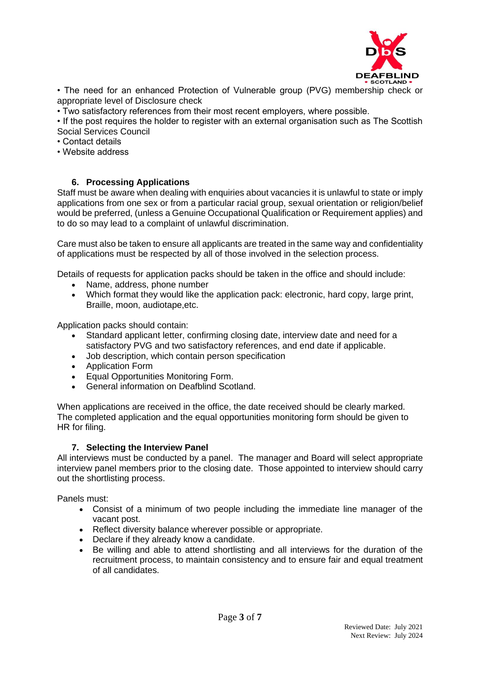

• The need for an enhanced Protection of Vulnerable group (PVG) membership check or appropriate level of Disclosure check

• Two satisfactory references from their most recent employers, where possible.

• If the post requires the holder to register with an external organisation such as The Scottish Social Services Council

- Contact details
- Website address

## **6. Processing Applications**

Staff must be aware when dealing with enquiries about vacancies it is unlawful to state or imply applications from one sex or from a particular racial group, sexual orientation or religion/belief would be preferred, (unless a Genuine Occupational Qualification or Requirement applies) and to do so may lead to a complaint of unlawful discrimination.

Care must also be taken to ensure all applicants are treated in the same way and confidentiality of applications must be respected by all of those involved in the selection process.

Details of requests for application packs should be taken in the office and should include:

- Name, address, phone number
- Which format they would like the application pack: electronic, hard copy, large print, Braille, moon, audiotape,etc.

Application packs should contain:

- Standard applicant letter, confirming closing date, interview date and need for a satisfactory PVG and two satisfactory references, and end date if applicable.
- Job description, which contain person specification
- Application Form
- Equal Opportunities Monitoring Form.
- General information on Deafblind Scotland.

When applications are received in the office, the date received should be clearly marked. The completed application and the equal opportunities monitoring form should be given to HR for filing.

### **7. Selecting the Interview Panel**

All interviews must be conducted by a panel. The manager and Board will select appropriate interview panel members prior to the closing date. Those appointed to interview should carry out the shortlisting process.

Panels must:

- Consist of a minimum of two people including the immediate line manager of the vacant post.
- Reflect diversity balance wherever possible or appropriate.
- Declare if they already know a candidate.
- Be willing and able to attend shortlisting and all interviews for the duration of the recruitment process, to maintain consistency and to ensure fair and equal treatment of all candidates.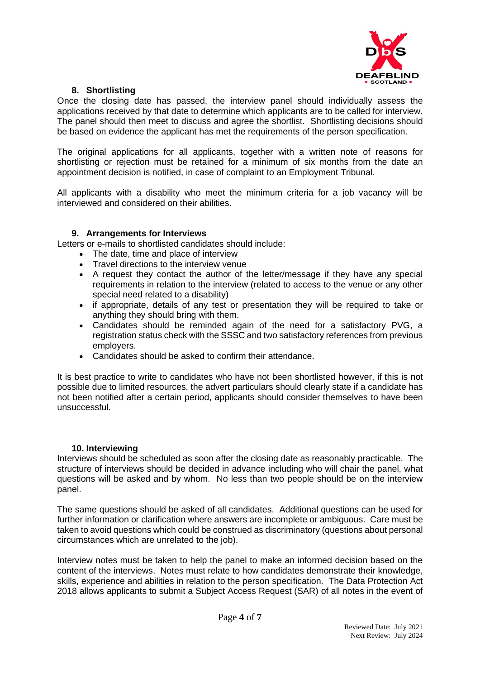

# **8. Shortlisting**

Once the closing date has passed, the interview panel should individually assess the applications received by that date to determine which applicants are to be called for interview. The panel should then meet to discuss and agree the shortlist. Shortlisting decisions should be based on evidence the applicant has met the requirements of the person specification.

The original applications for all applicants, together with a written note of reasons for shortlisting or rejection must be retained for a minimum of six months from the date an appointment decision is notified, in case of complaint to an Employment Tribunal.

All applicants with a disability who meet the minimum criteria for a job vacancy will be interviewed and considered on their abilities.

### **9. Arrangements for Interviews**

Letters or e-mails to shortlisted candidates should include:

- The date, time and place of interview
- Travel directions to the interview venue
- A request they contact the author of the letter/message if they have any special requirements in relation to the interview (related to access to the venue or any other special need related to a disability)
- if appropriate, details of any test or presentation they will be required to take or anything they should bring with them.
- Candidates should be reminded again of the need for a satisfactory PVG, a registration status check with the SSSC and two satisfactory references from previous employers.
- Candidates should be asked to confirm their attendance.

It is best practice to write to candidates who have not been shortlisted however, if this is not possible due to limited resources, the advert particulars should clearly state if a candidate has not been notified after a certain period, applicants should consider themselves to have been unsuccessful.

### **10. Interviewing**

Interviews should be scheduled as soon after the closing date as reasonably practicable. The structure of interviews should be decided in advance including who will chair the panel, what questions will be asked and by whom. No less than two people should be on the interview panel.

The same questions should be asked of all candidates. Additional questions can be used for further information or clarification where answers are incomplete or ambiguous. Care must be taken to avoid questions which could be construed as discriminatory (questions about personal circumstances which are unrelated to the job).

Interview notes must be taken to help the panel to make an informed decision based on the content of the interviews. Notes must relate to how candidates demonstrate their knowledge, skills, experience and abilities in relation to the person specification. The Data Protection Act 2018 allows applicants to submit a Subject Access Request (SAR) of all notes in the event of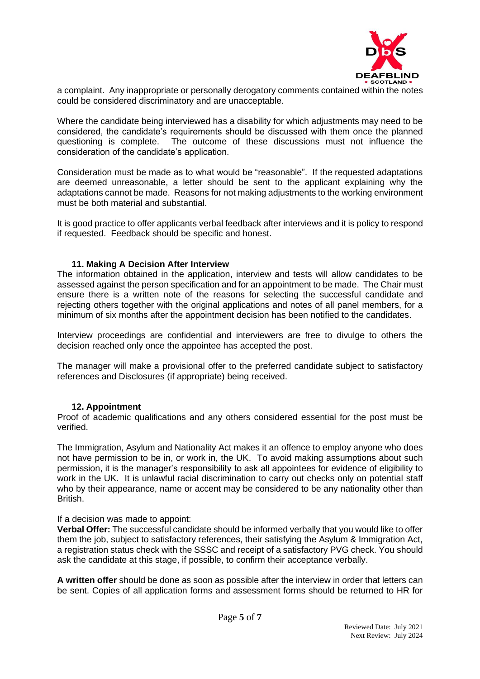

a complaint. Any inappropriate or personally derogatory comments contained within the notes could be considered discriminatory and are unacceptable.

Where the candidate being interviewed has a disability for which adjustments may need to be considered, the candidate's requirements should be discussed with them once the planned questioning is complete. The outcome of these discussions must not influence the consideration of the candidate's application.

Consideration must be made as to what would be "reasonable". If the requested adaptations are deemed unreasonable, a letter should be sent to the applicant explaining why the adaptations cannot be made. Reasons for not making adjustments to the working environment must be both material and substantial.

It is good practice to offer applicants verbal feedback after interviews and it is policy to respond if requested. Feedback should be specific and honest.

### **11. Making A Decision After Interview**

The information obtained in the application, interview and tests will allow candidates to be assessed against the person specification and for an appointment to be made. The Chair must ensure there is a written note of the reasons for selecting the successful candidate and rejecting others together with the original applications and notes of all panel members, for a minimum of six months after the appointment decision has been notified to the candidates.

Interview proceedings are confidential and interviewers are free to divulge to others the decision reached only once the appointee has accepted the post.

The manager will make a provisional offer to the preferred candidate subject to satisfactory references and Disclosures (if appropriate) being received.

### **12. Appointment**

Proof of academic qualifications and any others considered essential for the post must be verified.

The Immigration, Asylum and Nationality Act makes it an offence to employ anyone who does not have permission to be in, or work in, the UK. To avoid making assumptions about such permission, it is the manager's responsibility to ask all appointees for evidence of eligibility to work in the UK. It is unlawful racial discrimination to carry out checks only on potential staff who by their appearance, name or accent may be considered to be any nationality other than British.

If a decision was made to appoint:

**Verbal Offer:** The successful candidate should be informed verbally that you would like to offer them the job, subject to satisfactory references, their satisfying the Asylum & Immigration Act, a registration status check with the SSSC and receipt of a satisfactory PVG check. You should ask the candidate at this stage, if possible, to confirm their acceptance verbally.

**A written offer** should be done as soon as possible after the interview in order that letters can be sent. Copies of all application forms and assessment forms should be returned to HR for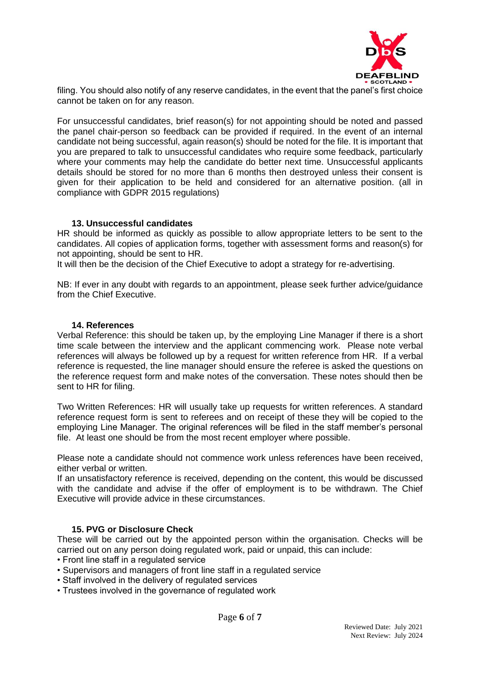

filing. You should also notify of any reserve candidates, in the event that the panel's first choice cannot be taken on for any reason.

For unsuccessful candidates, brief reason(s) for not appointing should be noted and passed the panel chair-person so feedback can be provided if required. In the event of an internal candidate not being successful, again reason(s) should be noted for the file. It is important that you are prepared to talk to unsuccessful candidates who require some feedback, particularly where your comments may help the candidate do better next time. Unsuccessful applicants details should be stored for no more than 6 months then destroyed unless their consent is given for their application to be held and considered for an alternative position. (all in compliance with GDPR 2015 regulations)

### **13. Unsuccessful candidates**

HR should be informed as quickly as possible to allow appropriate letters to be sent to the candidates. All copies of application forms, together with assessment forms and reason(s) for not appointing, should be sent to HR.

It will then be the decision of the Chief Executive to adopt a strategy for re-advertising.

NB: If ever in any doubt with regards to an appointment, please seek further advice/guidance from the Chief Executive.

#### **14. References**

Verbal Reference: this should be taken up, by the employing Line Manager if there is a short time scale between the interview and the applicant commencing work. Please note verbal references will always be followed up by a request for written reference from HR. If a verbal reference is requested, the line manager should ensure the referee is asked the questions on the reference request form and make notes of the conversation. These notes should then be sent to HR for filing.

Two Written References: HR will usually take up requests for written references. A standard reference request form is sent to referees and on receipt of these they will be copied to the employing Line Manager. The original references will be filed in the staff member's personal file. At least one should be from the most recent employer where possible.

Please note a candidate should not commence work unless references have been received, either verbal or written.

If an unsatisfactory reference is received, depending on the content, this would be discussed with the candidate and advise if the offer of employment is to be withdrawn. The Chief Executive will provide advice in these circumstances.

### **15. PVG or Disclosure Check**

These will be carried out by the appointed person within the organisation. Checks will be carried out on any person doing regulated work, paid or unpaid, this can include:

- Front line staff in a regulated service
- Supervisors and managers of front line staff in a regulated service
- Staff involved in the delivery of regulated services
- Trustees involved in the governance of regulated work